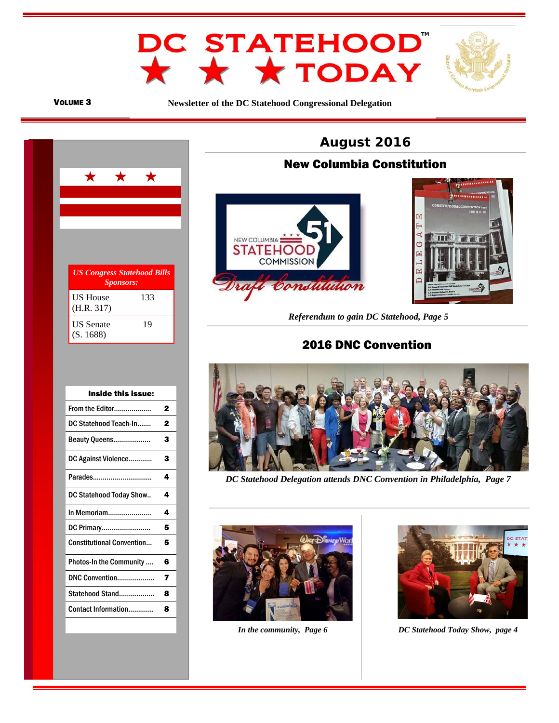



**Newsletter of the DC Statehood Congressional Delegation** 



| Inside this issue:               |   |
|----------------------------------|---|
| From the Editor                  | 2 |
| DC Statehood Teach-In            | 2 |
| Beauty Queens                    | 3 |
| DC Against Violence              | 3 |
| Parades                          | 4 |
| DC Statehood Today Show          | 4 |
| In Memoriam                      | 4 |
| DC Primary                       | 5 |
| <b>Constitutional Convention</b> | 5 |
| <b>Photos-In the Community </b>  | 6 |
| DNC Convention                   | 7 |
| Statehood Stand                  | 8 |
| Contact Information              | Զ |
|                                  |   |



## ì New Columbia Constitution





 *Referendum to gain DC Statehood, Page 5* 

# 2016 DNC Convention



*DC Statehood Delegation attends DNC Convention in Philadelphia, Page 7* 





*In the community, Page 6 DC Statehood Today Show, page 4*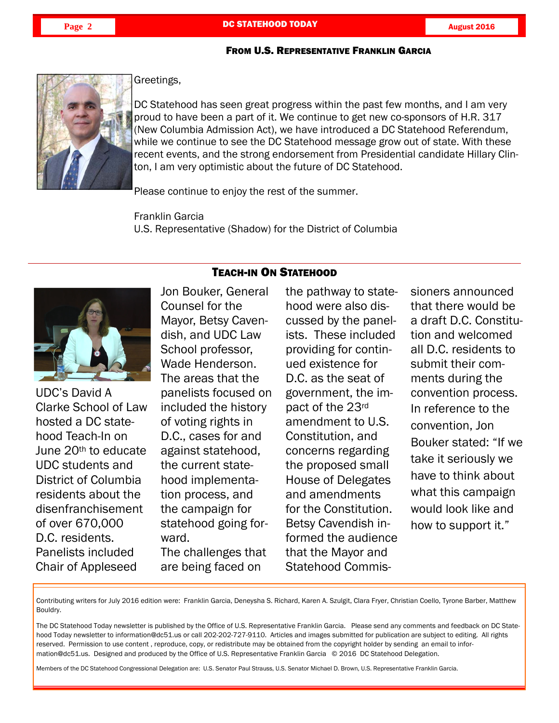## FROM U.S. REPRESENTATIVE FRANKLIN GARCIA



Greetings,

DC Statehood has seen great progress within the past few months, and I am very proud to have been a part of it. We continue to get new co-sponsors of H.R. 317 (New Columbia Admission Act), we have introduced a DC Statehood Referendum, while we continue to see the DC Statehood message grow out of state. With these recent events, and the strong endorsement from Presidential candidate Hillary Clinton, I am very optimistic about the future of DC Statehood.

Please continue to enjoy the rest of the summer.

Franklin Garcia U.S. Representative (Shadow) for the District of Columbia



UDC's David A Clarke School of Law hosted a DC statehood Teach-In on June 20th to educate UDC students and District of Columbia residents about the disenfranchisement of over 670,000 D.C. residents. Panelists included Chair of Appleseed

i

Jon Bouker, General Counsel for the Mayor, Betsy Cavendish, and UDC Law School professor, Wade Henderson. The areas that the panelists focused on included the history of voting rights in D.C., cases for and against statehood, the current statehood implementation process, and the campaign for statehood going forward. The challenges that are being faced on

# TEACH-IN ON STATEHOOD

the pathway to statehood were also discussed by the panelists. These included providing for continued existence for D.C. as the seat of government, the impact of the 23rd amendment to U.S. Constitution, and concerns regarding the proposed small House of Delegates and amendments for the Constitution. Betsy Cavendish informed the audience that the Mayor and Statehood Commis-

sioners announced that there would be a draft D.C. Constitution and welcomed all D.C. residents to submit their comments during the convention process. In reference to the convention, Jon Bouker stated: "If we take it seriously we have to think about what this campaign would look like and how to support it."

Contributing writers for July 2016 edition were: Franklin Garcia, Deneysha S. Richard, Karen A. Szulgit, Clara Fryer, Christian Coello, Tyrone Barber, Matthew Bouldry.

The DC Statehood Today newsletter is published by the Office of U.S. Representative Franklin Garcia. Please send any comments and feedback on DC Statehood Today newsletter to information@dc51.us or call 202-202-727-9110. Articles and images submitted for publication are subject to editing. All rights reserved. Permission to use content , reproduce, copy, or redistribute may be obtained from the copyright holder by sending an email to information@dc51.us. Designed and produced by the Office of U.S. Representative Franklin Garcia © 2016 DC Statehood Delegation.

Members of the DC Statehood Congressional Delegation are: U.S. Senator Paul Strauss, U.S. Senator Michael D. Brown, U.S. Representative Franklin Garcia.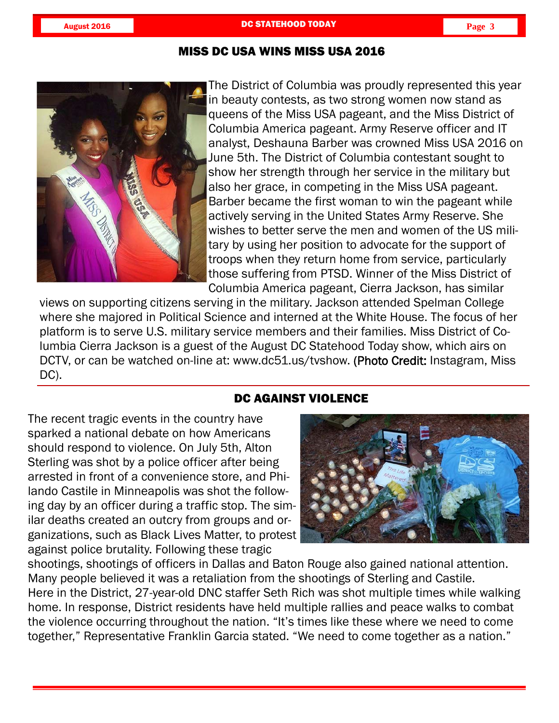

The District of Columbia was proudly represented this year in beauty contests, as two strong women now stand as queens of the Miss USA pageant, and the Miss District of Columbia America pageant. Army Reserve officer and IT analyst, Deshauna Barber was crowned Miss USA 2016 on June 5th. The District of Columbia contestant sought to show her strength through her service in the military but also her grace, in competing in the Miss USA pageant. Barber became the first woman to win the pageant while actively serving in the United States Army Reserve. She wishes to better serve the men and women of the US military by using her position to advocate for the support of troops when they return home from service, particularly those suffering from PTSD. Winner of the Miss District of Columbia America pageant, Cierra Jackson, has similar

views on supporting citizens serving in the military. Jackson attended Spelman College where she majored in Political Science and interned at the White House. The focus of her platform is to serve U.S. military service members and their families. Miss District of Columbia Cierra Jackson is a guest of the August DC Statehood Today show, which airs on DCTV, or can be watched on-line at: www.dc51.us/tvshow. (Photo Credit: Instagram, Miss DC).

# DC AGAINST VIOLENCE

The recent tragic events in the country have sparked a national debate on how Americans should respond to violence. On July 5th, Alton Sterling was shot by a police officer after being arrested in front of a convenience store, and Philando Castile in Minneapolis was shot the following day by an officer during a traffic stop. The similar deaths created an outcry from groups and organizations, such as Black Lives Matter, to protest against police brutality. Following these tragic



j

shootings, shootings of officers in Dallas and Baton Rouge also gained national attention. Many people believed it was a retaliation from the shootings of Sterling and Castile. Here in the District, 27-year-old DNC staffer Seth Rich was shot multiple times while walking home. In response, District residents have held multiple rallies and peace walks to combat the violence occurring throughout the nation. "It's times like these where we need to come together," Representative Franklin Garcia stated. "We need to come together as a nation."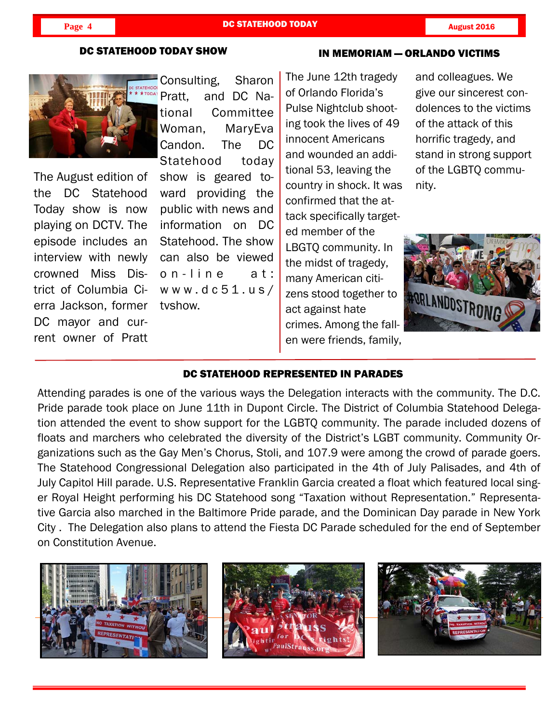## **Page 4 DC STATEHOOD TODAY CONSUMING August 2016**

#### DC STATEHOOD TODAY SHOW

#### IN MEMORIAM — ORLANDO VICTIMS



The August edition of the DC Statehood Today show is now playing on DCTV. The episode includes an interview with newly crowned Miss District of Columbia Cierra Jackson, former DC mayor and current owner of Pratt

i

Consulting, Sharon Pratt, and DC National Committee Woman, MaryEva Candon. The DC Statehood today show is geared toward providing the public with news and information on DC Statehood. The show can also be viewed on-line at: www.dc51.us/ tvshow.

The June 12th tragedy of Orlando Florida's Pulse Nightclub shooting took the lives of 49 innocent Americans and wounded an additional 53, leaving the country in shock. It was confirmed that the attack specifically targeted member of the LBGTQ community. In the midst of tragedy, many American citizens stood together to act against hate crimes. Among the fallen were friends, family,

and colleagues. We give our sincerest condolences to the victims of the attack of this horrific tragedy, and stand in strong support of the LGBTQ community.



## DC STATEHOOD REPRESENTED IN PARADES

Attending parades is one of the various ways the Delegation interacts with the community. The D.C. Pride parade took place on June 11th in Dupont Circle. The District of Columbia Statehood Delegation attended the event to show support for the LGBTQ community. The parade included dozens of floats and marchers who celebrated the diversity of the District's LGBT community. Community Organizations such as the Gay Men's Chorus, Stoli, and 107.9 were among the crowd of parade goers. The Statehood Congressional Delegation also participated in the 4th of July Palisades, and 4th of July Capitol Hill parade. U.S. Representative Franklin Garcia created a float which featured local singer Royal Height performing his DC Statehood song "Taxation without Representation." Representative Garcia also marched in the Baltimore Pride parade, and the Dominican Day parade in New York City . The Delegation also plans to attend the Fiesta DC Parade scheduled for the end of September on Constitution Avenue.

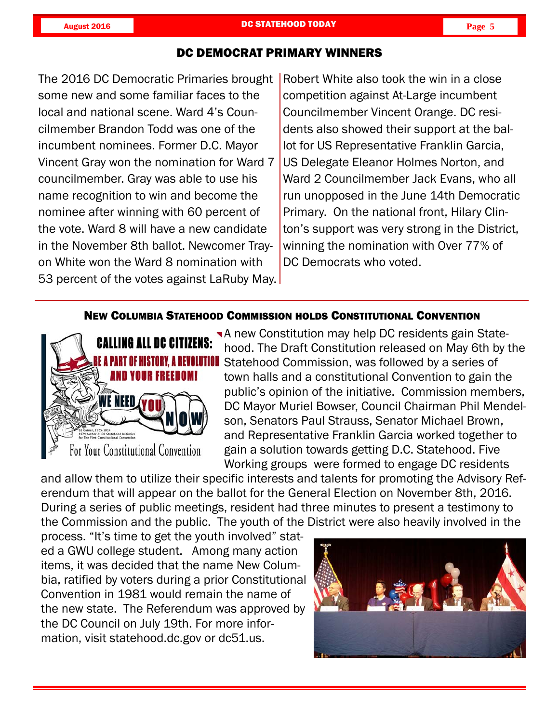## DC DEMOCRAT PRIMARY WINNERS

some new and some familiar faces to the local and national scene. Ward 4's Councilmember Brandon Todd was one of the incumbent nominees. Former D.C. Mayor Vincent Gray won the nomination for Ward 7 councilmember. Gray was able to use his name recognition to win and become the nominee after winning with 60 percent of the vote. Ward 8 will have a new candidate in the November 8th ballot. Newcomer Trayon White won the Ward 8 nomination with 53 percent of the votes against LaRuby May.

The 2016 DC Democratic Primaries brought | Robert White also took the win in a close competition against At-Large incumbent Councilmember Vincent Orange. DC residents also showed their support at the ballot for US Representative Franklin Garcia, US Delegate Eleanor Holmes Norton, and Ward 2 Councilmember Jack Evans, who all run unopposed in the June 14th Democratic Primary. On the national front, Hilary Clinton's support was very strong in the District, winning the nomination with Over 77% of DC Democrats who voted.

## NEW COLUMBIA STATEHOOD COMMISSION HOLDS CONSTITUTIONAL CONVENTION



**A** new Constitution may help DC residents gain Statehood. The Draft Constitution released on May 6th by the **IIVOLUTION** Statehood Commission, was followed by a series of town halls and a constitutional Convention to gain the public's opinion of the initiative. Commission members, DC Mayor Muriel Bowser, Council Chairman Phil Mendelson, Senators Paul Strauss, Senator Michael Brown, and Representative Franklin Garcia worked together to gain a solution towards getting D.C. Statehood. Five Working groups were formed to engage DC residents

and allow them to utilize their specific interests and talents for promoting the Advisory Referendum that will appear on the ballot for the General Election on November 8th, 2016. During a series of public meetings, resident had three minutes to present a testimony to the Commission and the public. The youth of the District were also heavily involved in the

process. "It's time to get the youth involved" stated a GWU college student. Among many action items, it was decided that the name New Columbia, ratified by voters during a prior Constitutional Convention in 1981 would remain the name of the new state. The Referendum was approved by the DC Council on July 19th. For more information, visit statehood.dc.gov or dc51.us.



j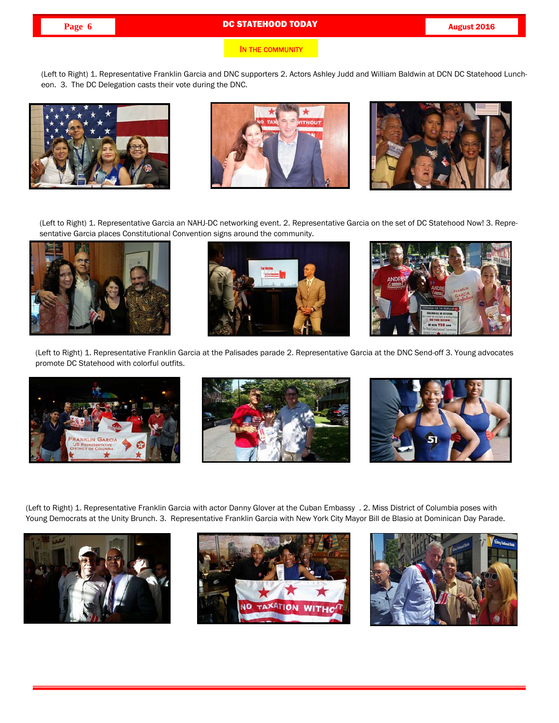# **Page 6 DC STATEHOOD TODAY CONSUMING THE RESERVE AUGUST 2016**

#### IN THE COMMUNITY

(Left to Right) 1. Representative Franklin Garcia and DNC supporters 2. Actors Ashley Judd and William Baldwin at DCN DC Statehood Luncheon. 3. The DC Delegation casts their vote during the DNC.







(Left to Right) 1. Representative Garcia an NAHJ-DC networking event. 2. Representative Garcia on the set of DC Statehood Now! 3. Representative Garcia places Constitutional Convention signs around the community.







(Left to Right) 1. Representative Franklin Garcia at the Palisades parade 2. Representative Garcia at the DNC Send-off 3. Young advocates promote DC Statehood with colorful outfits.







(Left to Right) 1. Representative Franklin Garcia with actor Danny Glover at the Cuban Embassy . 2. Miss District of Columbia poses with Young Democrats at the Unity Brunch. 3. Representative Franklin Garcia with New York City Mayor Bill de Blasio at Dominican Day Parade.



i



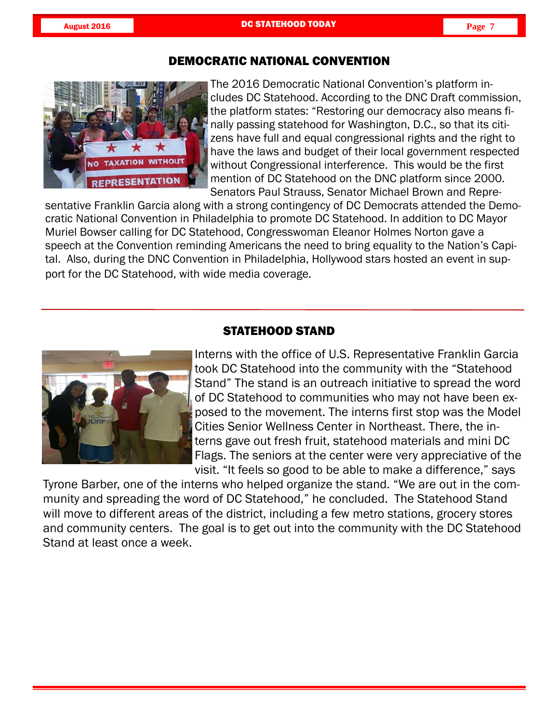

The 2016 Democratic National Convention's platform includes DC Statehood. According to the DNC Draft commission, the platform states: "Restoring our democracy also means finally passing statehood for Washington, D.C., so that its citizens have full and equal congressional rights and the right to have the laws and budget of their local government respected without Congressional interference. This would be the first mention of DC Statehood on the DNC platform since 2000. Senators Paul Strauss, Senator Michael Brown and Repre-

sentative Franklin Garcia along with a strong contingency of DC Democrats attended the Democratic National Convention in Philadelphia to promote DC Statehood. In addition to DC Mayor Muriel Bowser calling for DC Statehood, Congresswoman Eleanor Holmes Norton gave a speech at the Convention reminding Americans the need to bring equality to the Nation's Capital. Also, during the DNC Convention in Philadelphia, Hollywood stars hosted an event in support for the DC Statehood, with wide media coverage.



# STATEHOOD STAND

Interns with the office of U.S. Representative Franklin Garcia took DC Statehood into the community with the "Statehood Stand" The stand is an outreach initiative to spread the word of DC Statehood to communities who may not have been exposed to the movement. The interns first stop was the Model Cities Senior Wellness Center in Northeast. There, the interns gave out fresh fruit, statehood materials and mini DC Flags. The seniors at the center were very appreciative of the visit. "It feels so good to be able to make a difference," says

Tyrone Barber, one of the interns who helped organize the stand. "We are out in the community and spreading the word of DC Statehood," he concluded. The Statehood Stand will move to different areas of the district, including a few metro stations, grocery stores and community centers. The goal is to get out into the community with the DC Statehood Stand at least once a week.

j